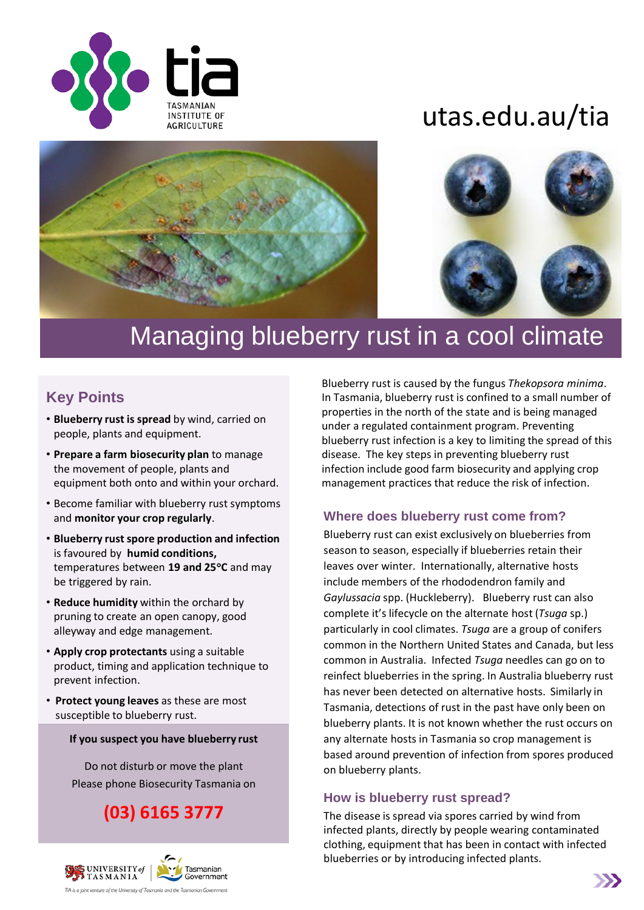

# utas.edu.au/tia





## Managing blueberry rust in a cool climate

## **Key Points**

- **Blueberry rust is spread** by wind, carried on people, plants and equipment.
- **Prepare a farm biosecurity plan** to manage the movement of people, plants and equipment both onto and within your orchard.
- Become familiar with blueberry rust symptoms and **monitor your crop regularly**.
- **Blueberry rust spore production and infection**  is favoured by **humid conditions,**  temperatures between **19 and 25C** and may be triggered by rain.
- **Reduce humidity** within the orchard by pruning to create an open canopy, good alleyway and edge management.
- **Apply crop protectants** using a suitable product, timing and application technique to prevent infection.
- **Protect young leaves** as these are most susceptible to blueberry rust.

#### **If you suspect you have blueberry rust**

Do not disturb or move the plant Please phone Biosecurity Tasmania on

**(03) 6165 3777** 



Blueberry rust is caused by the fungus *Thekopsora minima*. In Tasmania, blueberry rust is confined to a small number of properties in the north of the state and is being managed under a regulated containment program. Preventing blueberry rust infection is a key to limiting the spread of this disease. The key steps in preventing blueberry rust infection include good farm biosecurity and applying crop management practices that reduce the risk of infection.

## **Where does blueberry rust come from?**

Blueberry rust can exist exclusively on blueberries from season to season, especially if blueberries retain their leaves over winter. Internationally, alternative hosts include members of the rhododendron family and *Gaylussacia* spp. (Huckleberry). Blueberry rust can also complete it's lifecycle on the alternate host (*Tsuga* sp.) particularly in cool climates. *Tsuga* are a group of conifers common in the Northern United States and Canada, but less common in Australia. Infected *Tsuga* needles can go on to reinfect blueberries in the spring. In Australia blueberry rust has never been detected on alternative hosts. Similarly in Tasmania, detections of rust in the past have only been on blueberry plants. It is not known whether the rust occurs on any alternate hosts in Tasmania so crop management is based around prevention of infection from spores produced on blueberry plants.

#### **How is blueberry rust spread?**

The disease is spread via spores carried by wind from infected plants, directly by people wearing contaminated clothing, equipment that has been in contact with infected blueberries or by introducing infected plants.